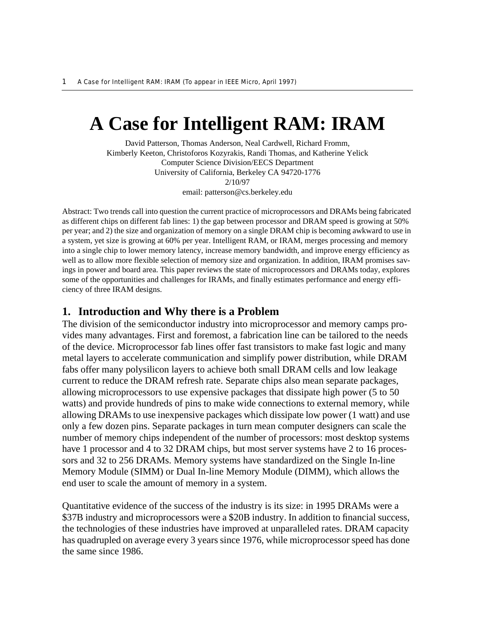# **A Case for Intelligent RAM: IRAM**

David Patterson, Thomas Anderson, Neal Cardwell, Richard Fromm, Kimberly Keeton, Christoforos Kozyrakis, Randi Thomas, and Katherine Yelick Computer Science Division/EECS Department University of California, Berkeley CA 94720-1776 2/10/97 email: patterson@cs.berkeley.edu

Abstract: Two trends call into question the current practice of microprocessors and DRAMs being fabricated as different chips on different fab lines: 1) the gap between processor and DRAM speed is growing at 50% per year; and 2) the size and organization of memory on a single DRAM chip is becoming awkward to use in a system, yet size is growing at 60% per year. Intelligent RAM, or IRAM, merges processing and memory into a single chip to lower memory latency, increase memory bandwidth, and improve energy efficiency as well as to allow more flexible selection of memory size and organization. In addition, IRAM promises savings in power and board area. This paper reviews the state of microprocessors and DRAMs today, explores some of the opportunities and challenges for IRAMs, and finally estimates performance and energy efficiency of three IRAM designs.

#### **1. Introduction and Why there is a Problem**

The division of the semiconductor industry into microprocessor and memory camps provides many advantages. First and foremost, a fabrication line can be tailored to the needs of the device. Microprocessor fab lines offer fast transistors to make fast logic and many metal layers to accelerate communication and simplify power distribution, while DRAM fabs offer many polysilicon layers to achieve both small DRAM cells and low leakage current to reduce the DRAM refresh rate. Separate chips also mean separate packages, allowing microprocessors to use expensive packages that dissipate high power (5 to 50 watts) and provide hundreds of pins to make wide connections to external memory, while allowing DRAMs to use inexpensive packages which dissipate low power (1 watt) and use only a few dozen pins. Separate packages in turn mean computer designers can scale the number of memory chips independent of the number of processors: most desktop systems have 1 processor and 4 to 32 DRAM chips, but most server systems have 2 to 16 processors and 32 to 256 DRAMs. Memory systems have standardized on the Single In-line Memory Module (SIMM) or Dual In-line Memory Module (DIMM), which allows the end user to scale the amount of memory in a system.

Quantitative evidence of the success of the industry is its size: in 1995 DRAMs were a \$37B industry and microprocessors were a \$20B industry. In addition to financial success, the technologies of these industries have improved at unparalleled rates. DRAM capacity has quadrupled on average every 3 years since 1976, while microprocessor speed has done the same since 1986.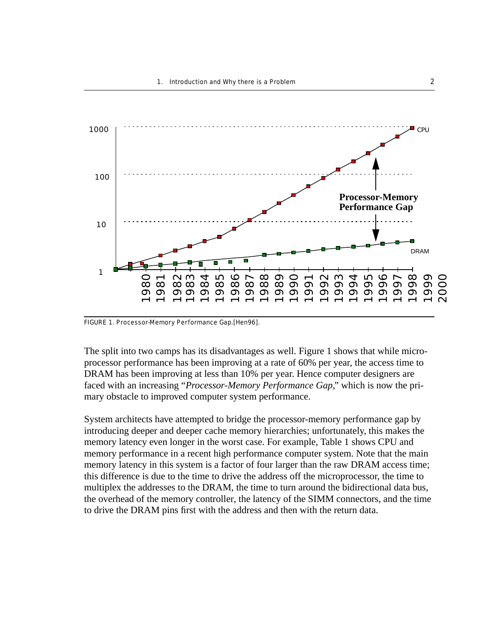

FIGURE 1. Processor-Memory Performance Gap.[Hen96].

The split into two camps has its disadvantages as well. Figure 1 shows that while microprocessor performance has been improving at a rate of 60% per year, the access time to DRAM has been improving at less than 10% per year. Hence computer designers are faced with an increasing "*Processor-Memory Performance Gap*," which is now the primary obstacle to improved computer system performance.

System architects have attempted to bridge the processor-memory performance gap by introducing deeper and deeper cache memory hierarchies; unfortunately, this makes the memory latency even longer in the worst case. For example, Table 1 shows CPU and memory performance in a recent high performance computer system. Note that the main memory latency in this system is a factor of four larger than the raw DRAM access time; this difference is due to the time to drive the address off the microprocessor, the time to multiplex the addresses to the DRAM, the time to turn around the bidirectional data bus, the overhead of the memory controller, the latency of the SIMM connectors, and the time to drive the DRAM pins first with the address and then with the return data.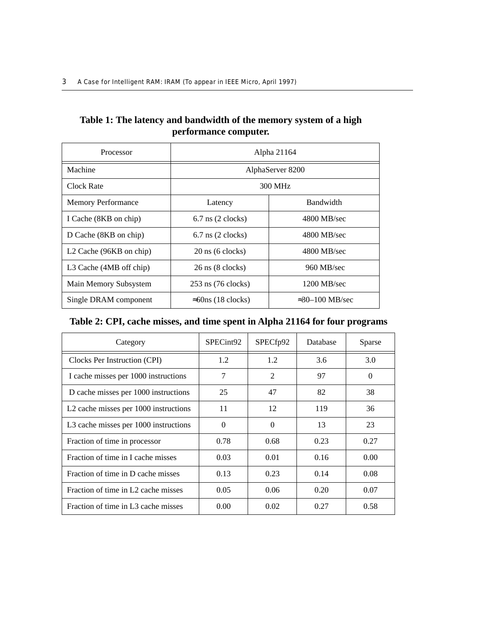## **Table 1: The latency and bandwidth of the memory system of a high performance computer.**

| Processor                           | Alpha 21164                        |                           |  |
|-------------------------------------|------------------------------------|---------------------------|--|
| Machine                             | AlphaServer 8200                   |                           |  |
| Clock Rate                          | 300 MHz                            |                           |  |
| <b>Memory Performance</b>           | Latency                            | <b>Bandwidth</b>          |  |
| I Cache (8KB on chip)               | $6.7$ ns $(2 \text{ clocks})$      | 4800 MB/sec               |  |
| D Cache (8KB on chip)               | $6.7$ ns $(2 \text{ clocks})$      | 4800 MB/sec               |  |
| L <sub>2</sub> Cache (96KB on chip) | $20 \text{ ns}$ (6 clocks)         | 4800 MB/sec               |  |
| L3 Cache (4MB off chip)             | $26 \text{ ns} (8 \text{ clocks})$ | $960$ MB/sec              |  |
| Main Memory Subsystem               | 253 ns (76 clocks)                 | $1200 \text{ MB/sec}$     |  |
| Single DRAM component               | $\approx$ 60ns (18 clocks)         | $\approx 30 - 100$ MB/sec |  |

## **Table 2: CPI, cache misses, and time spent in Alpha 21164 for four programs**

| Category                              | SPECint92 | SPECfp92       | Database | Sparse |
|---------------------------------------|-----------|----------------|----------|--------|
| Clocks Per Instruction (CPI)          | 1.2       | 1.2            | 3.6      | 3.0    |
| I cache misses per 1000 instructions  | 7         | $\overline{2}$ | 97       | 0      |
| D cache misses per 1000 instructions  | 25        | 47             | 82       | 38     |
| L2 cache misses per 1000 instructions | 11        | 12             | 119      | 36     |
| L3 cache misses per 1000 instructions | $\Omega$  | $\Omega$       | 13       | 23     |
| Fraction of time in processor         | 0.78      | 0.68           | 0.23     | 0.27   |
| Fraction of time in I cache misses    | 0.03      | 0.01           | 0.16     | 0.00   |
| Fraction of time in D cache misses    | 0.13      | 0.23           | 0.14     | 0.08   |
| Fraction of time in L2 cache misses   | 0.05      | 0.06           | 0.20     | 0.07   |
| Fraction of time in L3 cache misses   | 0.00      | 0.02           | 0.27     | 0.58   |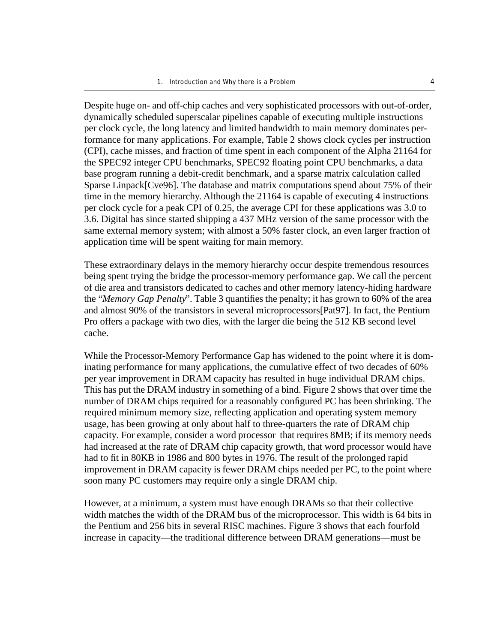Despite huge on- and off-chip caches and very sophisticated processors with out-of-order, dynamically scheduled superscalar pipelines capable of executing multiple instructions per clock cycle, the long latency and limited bandwidth to main memory dominates performance for many applications. For example, Table 2 shows clock cycles per instruction (CPI), cache misses, and fraction of time spent in each component of the Alpha 21164 for the SPEC92 integer CPU benchmarks, SPEC92 floating point CPU benchmarks, a data base program running a debit-credit benchmark, and a sparse matrix calculation called Sparse Linpack[Cve96]. The database and matrix computations spend about 75% of their time in the memory hierarchy. Although the 21164 is capable of executing 4 instructions per clock cycle for a peak CPI of 0.25, the average CPI for these applications was 3.0 to 3.6. Digital has since started shipping a 437 MHz version of the same processor with the same external memory system; with almost a 50% faster clock, an even larger fraction of application time will be spent waiting for main memory.

These extraordinary delays in the memory hierarchy occur despite tremendous resources being spent trying the bridge the processor-memory performance gap. We call the percent of die area and transistors dedicated to caches and other memory latency-hiding hardware the "*Memory Gap Penalty*". Table 3 quantifies the penalty; it has grown to 60% of the area and almost 90% of the transistors in several microprocessors[Pat97]. In fact, the Pentium Pro offers a package with two dies, with the larger die being the 512 KB second level cache.

While the Processor-Memory Performance Gap has widened to the point where it is dominating performance for many applications, the cumulative effect of two decades of 60% per year improvement in DRAM capacity has resulted in huge individual DRAM chips. This has put the DRAM industry in something of a bind. Figure 2 shows that over time the number of DRAM chips required for a reasonably configured PC has been shrinking. The required minimum memory size, reflecting application and operating system memory usage, has been growing at only about half to three-quarters the rate of DRAM chip capacity. For example, consider a word processor that requires 8MB; if its memory needs had increased at the rate of DRAM chip capacity growth, that word processor would have had to fit in 80KB in 1986 and 800 bytes in 1976. The result of the prolonged rapid improvement in DRAM capacity is fewer DRAM chips needed per PC, to the point where soon many PC customers may require only a single DRAM chip.

However, at a minimum, a system must have enough DRAMs so that their collective width matches the width of the DRAM bus of the microprocessor. This width is 64 bits in the Pentium and 256 bits in several RISC machines. Figure 3 shows that each fourfold increase in capacity––the traditional difference between DRAM generations––must be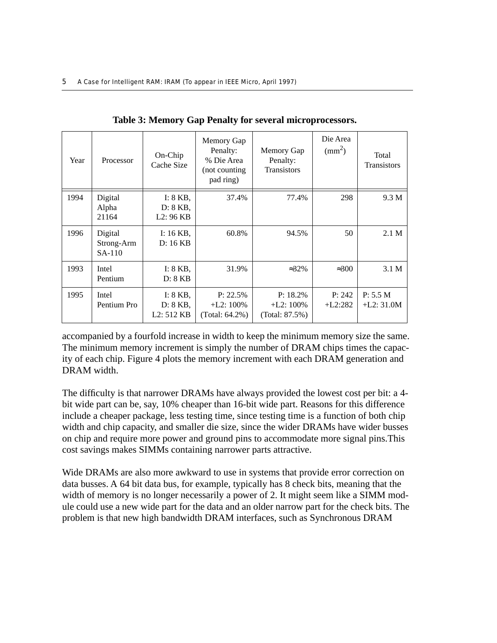| Year | Processor                         | On-Chip<br>Cache Size                             | Memory Gap<br>Penalty:<br>% Die Area<br>(not counting<br>pad ring) | Memory Gap<br>Penalty:<br><b>Transistors</b> | Die Area<br>$\text{m}^2$ | Total<br><b>Transistors</b> |
|------|-----------------------------------|---------------------------------------------------|--------------------------------------------------------------------|----------------------------------------------|--------------------------|-----------------------------|
| 1994 | Digital<br>Alpha<br>21164         | I: 8 KB,<br>D: 8KB,<br>L2:96KB                    | 37.4%                                                              | 77.4%                                        | 298                      | 9.3 M                       |
| 1996 | Digital<br>Strong-Arm<br>$SA-110$ | I: $16$ KB,<br>D: 16 KB                           | 60.8%                                                              | 94.5%                                        | 50                       | 2.1 <sub>M</sub>            |
| 1993 | Intel<br>Pentium                  | I: $8$ KB,<br>D: 8KB                              | 31.9%                                                              | $\approx 32\%$                               | $\approx 300$            | 3.1 M                       |
| 1995 | Intel<br>Pentium Pro              | I: $8$ KB,<br>D: 8 KB,<br>L <sub>2</sub> : 512 KB | $P: 22.5\%$<br>$+L2:100\%$<br>(Total: 64.2%)                       | $P: 18.2\%$<br>$+L2:100\%$<br>(Total: 87.5%) | P: 242<br>$+L2:282$      | P: 5.5 M<br>$+L2:31.0M$     |

**Table 3: Memory Gap Penalty for several microprocessors.**

accompanied by a fourfold increase in width to keep the minimum memory size the same. The minimum memory increment is simply the number of DRAM chips times the capacity of each chip. Figure 4 plots the memory increment with each DRAM generation and DRAM width.

The difficulty is that narrower DRAMs have always provided the lowest cost per bit: a 4 bit wide part can be, say, 10% cheaper than 16-bit wide part. Reasons for this difference include a cheaper package, less testing time, since testing time is a function of both chip width and chip capacity, and smaller die size, since the wider DRAMs have wider busses on chip and require more power and ground pins to accommodate more signal pins.This cost savings makes SIMMs containing narrower parts attractive.

Wide DRAMs are also more awkward to use in systems that provide error correction on data busses. A 64 bit data bus, for example, typically has 8 check bits, meaning that the width of memory is no longer necessarily a power of 2. It might seem like a SIMM module could use a new wide part for the data and an older narrow part for the check bits. The problem is that new high bandwidth DRAM interfaces, such as Synchronous DRAM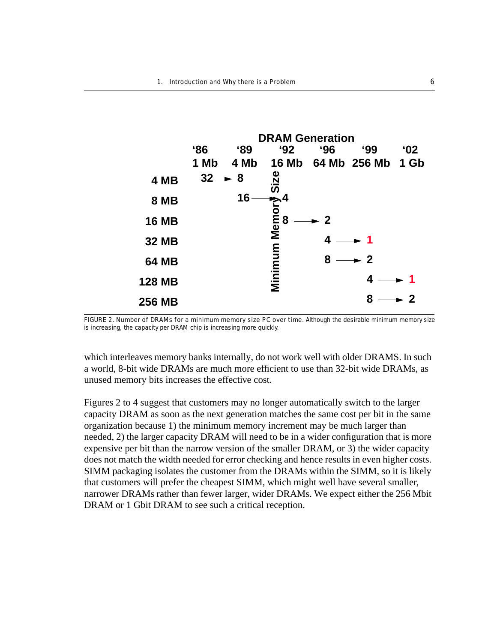

FIGURE 2. Number of DRAMs for a minimum memory size PC over time. Although the desirable minimum memory size

which interleaves memory banks internally, do not work well with older DRAMS. In such a world, 8-bit wide DRAMs are much more efficient to use than 32-bit wide DRAMs, as unused memory bits increases the effective cost.

Figures 2 to 4 suggest that customers may no longer automatically switch to the larger capacity DRAM as soon as the next generation matches the same cost per bit in the same organization because 1) the minimum memory increment may be much larger than needed, 2) the larger capacity DRAM will need to be in a wider configuration that is more expensive per bit than the narrow version of the smaller DRAM, or 3) the wider capacity does not match the width needed for error checking and hence results in even higher costs. SIMM packaging isolates the customer from the DRAMs within the SIMM, so it is likely that customers will prefer the cheapest SIMM, which might well have several smaller, narrower DRAMs rather than fewer larger, wider DRAMs. We expect either the 256 Mbit DRAM or 1 Gbit DRAM to see such a critical reception.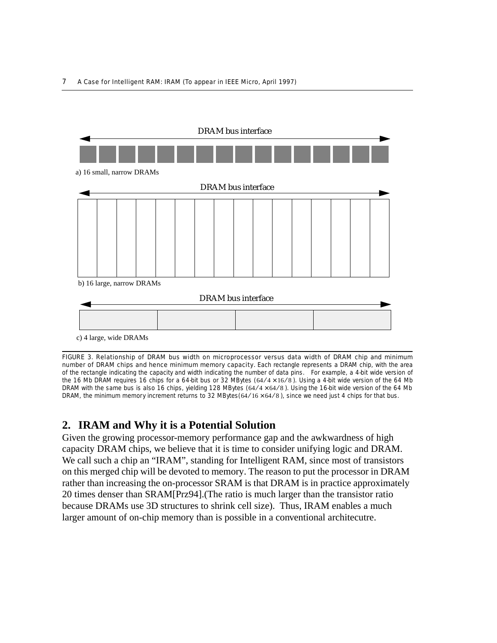

FIGURE 3. Relationship of DRAM bus width on microprocessor versus data width of DRAM chip and minimum number of DRAM chips and hence minimum memory capacity. Each rectangle represents a DRAM chip, with the area of the rectangle indicating the capacity and width indicating the number of data pins. For example, a 4-bit wide version of the 16 Mb DRAM requires 16 chips for a 64-bit bus or 32 MBytes ( $64/4 \times 16/8$ ). Using a 4-bit wide version of the 64 Mb DRAM with the same bus is also 16 chips, yielding 128 MBytes  $(64/4 \times 64/8)$ . Using the 16-bit wide version of the 64 Mb DRAM, the minimum memory increment returns to 32 MBytes( $64/16 \times 64/8$ ), since we need just 4 chips for that bus.

# **2. IRAM and Why it is a Potential Solution**

Given the growing processor-memory performance gap and the awkwardness of high capacity DRAM chips, we believe that it is time to consider unifying logic and DRAM. We call such a chip an "IRAM", standing for Intelligent RAM, since most of transistors on this merged chip will be devoted to memory. The reason to put the processor in DRAM rather than increasing the on-processor SRAM is that DRAM is in practice approximately 20 times denser than SRAM[Prz94].(The ratio is much larger than the transistor ratio because DRAMs use 3D structures to shrink cell size). Thus, IRAM enables a much larger amount of on-chip memory than is possible in a conventional architecutre.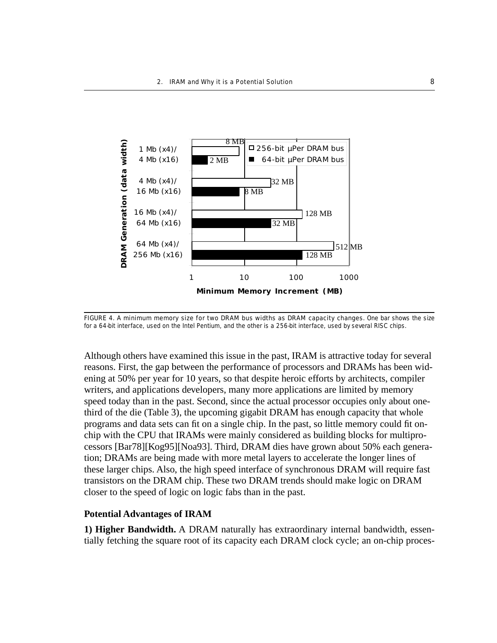

FIGURE 4. A minimum memory size for two DRAM bus widths as DRAM capacity changes. One bar shows the size for a 64-bit interface, used on the Intel Pentium, and the other is a 256-bit interface, used by several RISC chips.

Although others have examined this issue in the past, IRAM is attractive today for several reasons. First, the gap between the performance of processors and DRAMs has been widening at 50% per year for 10 years, so that despite heroic efforts by architects, compiler writers, and applications developers, many more applications are limited by memory speed today than in the past. Second, since the actual processor occupies only about onethird of the die (Table 3), the upcoming gigabit DRAM has enough capacity that whole programs and data sets can fit on a single chip. In the past, so little memory could fit onchip with the CPU that IRAMs were mainly considered as building blocks for multiprocessors [Bar78][Kog95][Noa93]. Third, DRAM dies have grown about 50% each generation; DRAMs are being made with more metal layers to accelerate the longer lines of these larger chips. Also, the high speed interface of synchronous DRAM will require fast transistors on the DRAM chip. These two DRAM trends should make logic on DRAM closer to the speed of logic on logic fabs than in the past.

#### **Potential Advantages of IRAM**

**1) Higher Bandwidth.** A DRAM naturally has extraordinary internal bandwidth, essentially fetching the square root of its capacity each DRAM clock cycle; an on-chip proces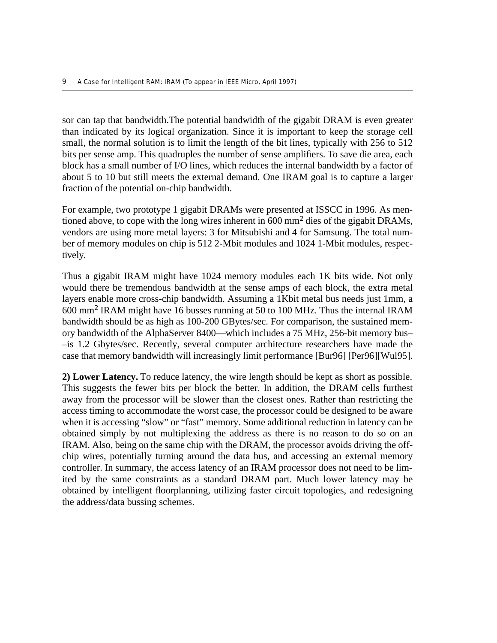sor can tap that bandwidth.The potential bandwidth of the gigabit DRAM is even greater than indicated by its logical organization. Since it is important to keep the storage cell small, the normal solution is to limit the length of the bit lines, typically with 256 to 512 bits per sense amp. This quadruples the number of sense amplifiers. To save die area, each block has a small number of I/O lines, which reduces the internal bandwidth by a factor of about 5 to 10 but still meets the external demand. One IRAM goal is to capture a larger fraction of the potential on-chip bandwidth.

For example, two prototype 1 gigabit DRAMs were presented at ISSCC in 1996. As mentioned above, to cope with the long wires inherent in  $600 \text{ mm}^2$  dies of the gigabit DRAMs, vendors are using more metal layers: 3 for Mitsubishi and 4 for Samsung. The total number of memory modules on chip is 512 2-Mbit modules and 1024 1-Mbit modules, respectively.

Thus a gigabit IRAM might have 1024 memory modules each 1K bits wide. Not only would there be tremendous bandwidth at the sense amps of each block, the extra metal layers enable more cross-chip bandwidth. Assuming a 1Kbit metal bus needs just 1mm, a 600 mm<sup>2</sup> IRAM might have 16 busses running at 50 to 100 MHz. Thus the internal IRAM bandwidth should be as high as 100-200 GBytes/sec. For comparison, the sustained memory bandwidth of the AlphaServer 8400––which includes a 75 MHz, 256-bit memory bus– –is 1.2 Gbytes/sec. Recently, several computer architecture researchers have made the case that memory bandwidth will increasingly limit performance [Bur96] [Per96][Wul95].

**2) Lower Latency.** To reduce latency, the wire length should be kept as short as possible. This suggests the fewer bits per block the better. In addition, the DRAM cells furthest away from the processor will be slower than the closest ones. Rather than restricting the access timing to accommodate the worst case, the processor could be designed to be aware when it is accessing "slow" or "fast" memory. Some additional reduction in latency can be obtained simply by not multiplexing the address as there is no reason to do so on an IRAM. Also, being on the same chip with the DRAM, the processor avoids driving the offchip wires, potentially turning around the data bus, and accessing an external memory controller. In summary, the access latency of an IRAM processor does not need to be limited by the same constraints as a standard DRAM part. Much lower latency may be obtained by intelligent floorplanning, utilizing faster circuit topologies, and redesigning the address/data bussing schemes.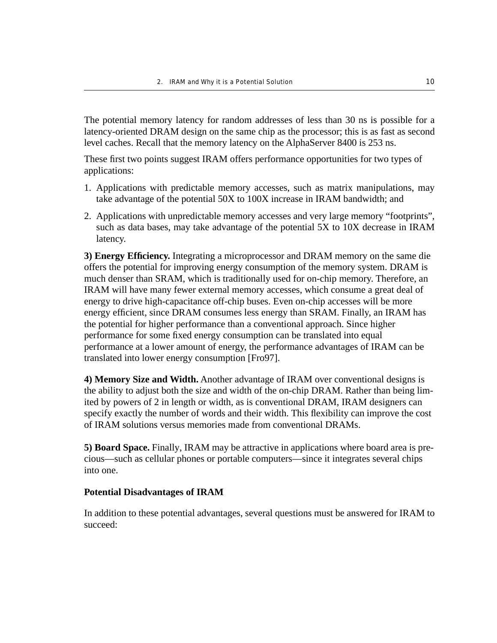The potential memory latency for random addresses of less than 30 ns is possible for a latency-oriented DRAM design on the same chip as the processor; this is as fast as second level caches. Recall that the memory latency on the AlphaServer 8400 is 253 ns.

These first two points suggest IRAM offers performance opportunities for two types of applications:

- 1. Applications with predictable memory accesses, such as matrix manipulations, may take advantage of the potential 50X to 100X increase in IRAM bandwidth; and
- 2. Applications with unpredictable memory accesses and very large memory "footprints", such as data bases, may take advantage of the potential 5X to 10X decrease in IRAM latency.

**3) Energy Efficiency.** Integrating a microprocessor and DRAM memory on the same die offers the potential for improving energy consumption of the memory system. DRAM is much denser than SRAM, which is traditionally used for on-chip memory. Therefore, an IRAM will have many fewer external memory accesses, which consume a great deal of energy to drive high-capacitance off-chip buses. Even on-chip accesses will be more energy efficient, since DRAM consumes less energy than SRAM. Finally, an IRAM has the potential for higher performance than a conventional approach. Since higher performance for some fixed energy consumption can be translated into equal performance at a lower amount of energy, the performance advantages of IRAM can be translated into lower energy consumption [Fro97].

**4) Memory Size and Width.** Another advantage of IRAM over conventional designs is the ability to adjust both the size and width of the on-chip DRAM. Rather than being limited by powers of 2 in length or width, as is conventional DRAM, IRAM designers can specify exactly the number of words and their width. This flexibility can improve the cost of IRAM solutions versus memories made from conventional DRAMs.

**5) Board Space.** Finally, IRAM may be attractive in applications where board area is precious––such as cellular phones or portable computers––since it integrates several chips into one.

#### **Potential Disadvantages of IRAM**

In addition to these potential advantages, several questions must be answered for IRAM to succeed: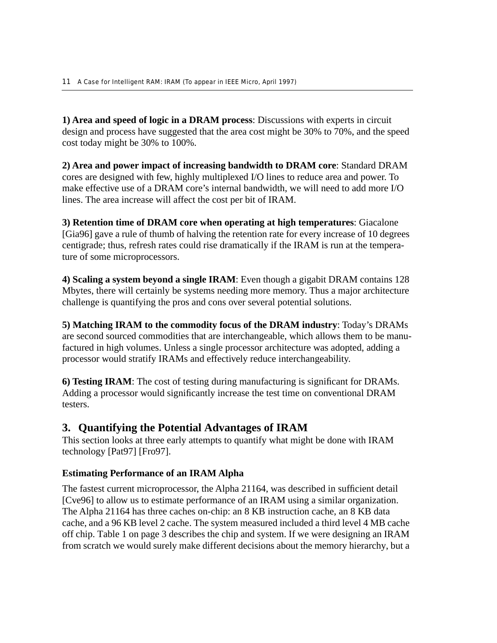**1) Area and speed of logic in a DRAM process**: Discussions with experts in circuit design and process have suggested that the area cost might be 30% to 70%, and the speed cost today might be 30% to 100%.

**2) Area and power impact of increasing bandwidth to DRAM core**: Standard DRAM cores are designed with few, highly multiplexed I/O lines to reduce area and power. To make effective use of a DRAM core's internal bandwidth, we will need to add more I/O lines. The area increase will affect the cost per bit of IRAM.

**3) Retention time of DRAM core when operating at high temperatures**: Giacalone [Gia96] gave a rule of thumb of halving the retention rate for every increase of 10 degrees centigrade; thus, refresh rates could rise dramatically if the IRAM is run at the temperature of some microprocessors.

**4) Scaling a system beyond a single IRAM**: Even though a gigabit DRAM contains 128 Mbytes, there will certainly be systems needing more memory. Thus a major architecture challenge is quantifying the pros and cons over several potential solutions.

**5) Matching IRAM to the commodity focus of the DRAM industry**: Today's DRAMs are second sourced commodities that are interchangeable, which allows them to be manufactured in high volumes. Unless a single processor architecture was adopted, adding a processor would stratify IRAMs and effectively reduce interchangeability.

**6) Testing IRAM**: The cost of testing during manufacturing is significant for DRAMs. Adding a processor would significantly increase the test time on conventional DRAM testers.

# **3. Quantifying the Potential Advantages of IRAM**

This section looks at three early attempts to quantify what might be done with IRAM technology [Pat97] [Fro97].

## **Estimating Performance of an IRAM Alpha**

The fastest current microprocessor, the Alpha 21164, was described in sufficient detail [Cve96] to allow us to estimate performance of an IRAM using a similar organization. The Alpha 21164 has three caches on-chip: an 8 KB instruction cache, an 8 KB data cache, and a 96 KB level 2 cache. The system measured included a third level 4 MB cache off chip. Table 1 on page 3 describes the chip and system. If we were designing an IRAM from scratch we would surely make different decisions about the memory hierarchy, but a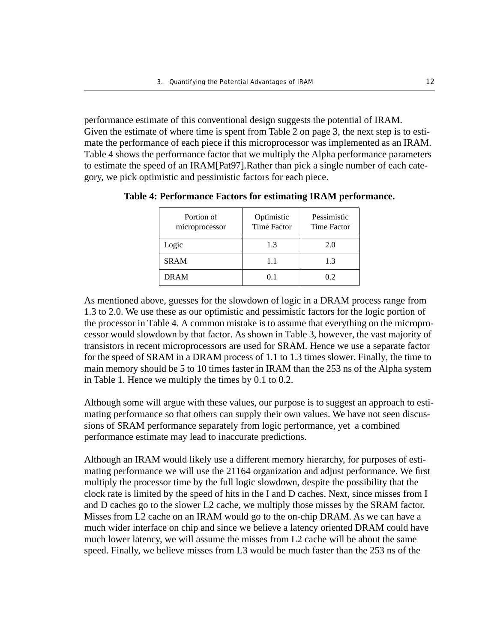performance estimate of this conventional design suggests the potential of IRAM. Given the estimate of where time is spent from Table 2 on page 3, the next step is to estimate the performance of each piece if this microprocessor was implemented as an IRAM. Table 4 shows the performance factor that we multiply the Alpha performance parameters to estimate the speed of an IRAM[Pat97].Rather than pick a single number of each category, we pick optimistic and pessimistic factors for each piece.

| Portion of<br>microprocessor | Optimistic<br><b>Time Factor</b> | Pessimistic<br>Time Factor |
|------------------------------|----------------------------------|----------------------------|
| Logic                        | 1.3                              | 2.0                        |
| <b>SRAM</b>                  | 11                               | 1.3                        |
| <b>DRAM</b>                  | 01                               | 02                         |

**Table 4: Performance Factors for estimating IRAM performance.**

As mentioned above, guesses for the slowdown of logic in a DRAM process range from 1.3 to 2.0. We use these as our optimistic and pessimistic factors for the logic portion of the processor in Table 4. A common mistake is to assume that everything on the microprocessor would slowdown by that factor. As shown in Table 3, however, the vast majority of transistors in recent microprocessors are used for SRAM. Hence we use a separate factor for the speed of SRAM in a DRAM process of 1.1 to 1.3 times slower. Finally, the time to main memory should be 5 to 10 times faster in IRAM than the 253 ns of the Alpha system in Table 1. Hence we multiply the times by 0.1 to 0.2.

Although some will argue with these values, our purpose is to suggest an approach to estimating performance so that others can supply their own values. We have not seen discussions of SRAM performance separately from logic performance, yet a combined performance estimate may lead to inaccurate predictions.

Although an IRAM would likely use a different memory hierarchy, for purposes of estimating performance we will use the 21164 organization and adjust performance. We first multiply the processor time by the full logic slowdown, despite the possibility that the clock rate is limited by the speed of hits in the I and D caches. Next, since misses from I and D caches go to the slower L2 cache, we multiply those misses by the SRAM factor. Misses from L2 cache on an IRAM would go to the on-chip DRAM. As we can have a much wider interface on chip and since we believe a latency oriented DRAM could have much lower latency, we will assume the misses from L2 cache will be about the same speed. Finally, we believe misses from L3 would be much faster than the 253 ns of the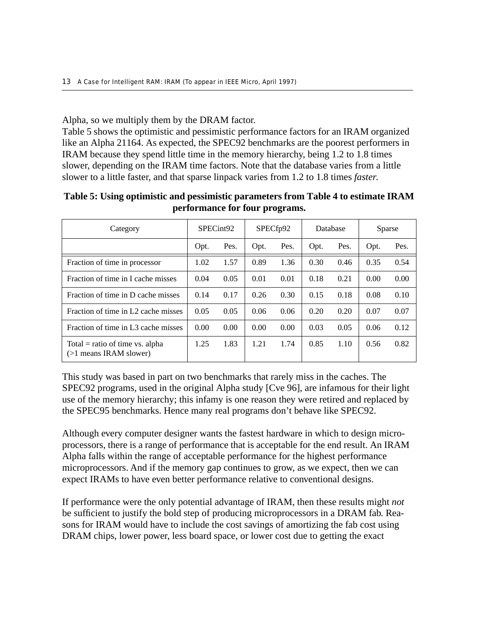Alpha, so we multiply them by the DRAM factor.

Table 5 shows the optimistic and pessimistic performance factors for an IRAM organized like an Alpha 21164. As expected, the SPEC92 benchmarks are the poorest performers in IRAM because they spend little time in the memory hierarchy, being 1.2 to 1.8 times slower, depending on the IRAM time factors. Note that the database varies from a little slower to a little faster, and that sparse linpack varies from 1.2 to 1.8 times *faster*.

| Category                                                    | SPECint92 |      | SPECf <sub>p92</sub> |      | Database |      | Sparse |      |
|-------------------------------------------------------------|-----------|------|----------------------|------|----------|------|--------|------|
|                                                             | Opt.      | Pes. | Opt.                 | Pes. | Opt.     | Pes. | Opt.   | Pes. |
| Fraction of time in processor                               | 1.02      | 1.57 | 0.89                 | 1.36 | 0.30     | 0.46 | 0.35   | 0.54 |
| Fraction of time in I cache misses                          | 0.04      | 0.05 | 0.01                 | 0.01 | 0.18     | 0.21 | 0.00   | 0.00 |
| Fraction of time in D cache misses                          | 0.14      | 0.17 | 0.26                 | 0.30 | 0.15     | 0.18 | 0.08   | 0.10 |
| Fraction of time in L2 cache misses                         | 0.05      | 0.05 | 0.06                 | 0.06 | 0.20     | 0.20 | 0.07   | 0.07 |
| Fraction of time in L3 cache misses                         | 0.00      | 0.00 | 0.00                 | 0.00 | 0.03     | 0.05 | 0.06   | 0.12 |
| Total = ratio of time vs. alpha<br>$(>1$ means IRAM slower) | 1.25      | 1.83 | 1.21                 | 1.74 | 0.85     | 1.10 | 0.56   | 0.82 |

**Table 5: Using optimistic and pessimistic parameters from Table 4 to estimate IRAM performance for four programs.**

This study was based in part on two benchmarks that rarely miss in the caches. The SPEC92 programs, used in the original Alpha study [Cve 96], are infamous for their light use of the memory hierarchy; this infamy is one reason they were retired and replaced by the SPEC95 benchmarks. Hence many real programs don't behave like SPEC92.

Although every computer designer wants the fastest hardware in which to design microprocessors, there is a range of performance that is acceptable for the end result. An IRAM Alpha falls within the range of acceptable performance for the highest performance microprocessors. And if the memory gap continues to grow, as we expect, then we can expect IRAMs to have even better performance relative to conventional designs.

If performance were the only potential advantage of IRAM, then these results might *not* be sufficient to justify the bold step of producing microprocessors in a DRAM fab. Reasons for IRAM would have to include the cost savings of amortizing the fab cost using DRAM chips, lower power, less board space, or lower cost due to getting the exact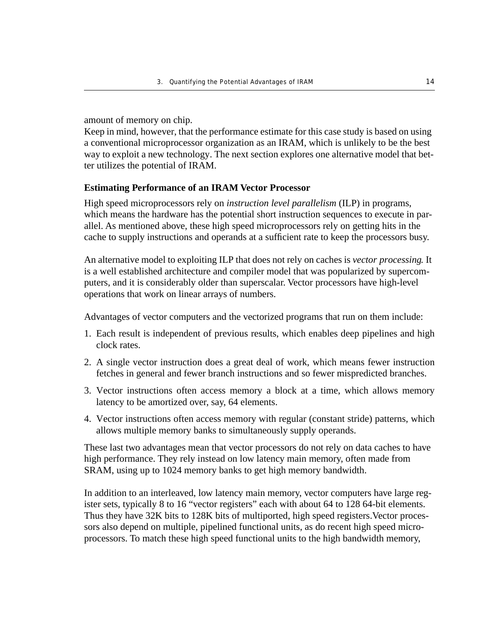amount of memory on chip.

Keep in mind, however, that the performance estimate for this case study is based on using a conventional microprocessor organization as an IRAM, which is unlikely to be the best way to exploit a new technology. The next section explores one alternative model that better utilizes the potential of IRAM.

#### **Estimating Performance of an IRAM Vector Processor**

High speed microprocessors rely on *instruction level parallelism* (ILP) in programs, which means the hardware has the potential short instruction sequences to execute in parallel. As mentioned above, these high speed microprocessors rely on getting hits in the cache to supply instructions and operands at a sufficient rate to keep the processors busy.

An alternative model to exploiting ILP that does not rely on caches is *vector processing*. It is a well established architecture and compiler model that was popularized by supercomputers, and it is considerably older than superscalar. Vector processors have high-level operations that work on linear arrays of numbers.

Advantages of vector computers and the vectorized programs that run on them include:

- 1. Each result is independent of previous results, which enables deep pipelines and high clock rates.
- 2. A single vector instruction does a great deal of work, which means fewer instruction fetches in general and fewer branch instructions and so fewer mispredicted branches.
- 3. Vector instructions often access memory a block at a time, which allows memory latency to be amortized over, say, 64 elements.
- 4. Vector instructions often access memory with regular (constant stride) patterns, which allows multiple memory banks to simultaneously supply operands.

These last two advantages mean that vector processors do not rely on data caches to have high performance. They rely instead on low latency main memory, often made from SRAM, using up to 1024 memory banks to get high memory bandwidth.

In addition to an interleaved, low latency main memory, vector computers have large register sets, typically 8 to 16 "vector registers" each with about 64 to 128 64-bit elements. Thus they have 32K bits to 128K bits of multiported, high speed registers.Vector processors also depend on multiple, pipelined functional units, as do recent high speed microprocessors. To match these high speed functional units to the high bandwidth memory,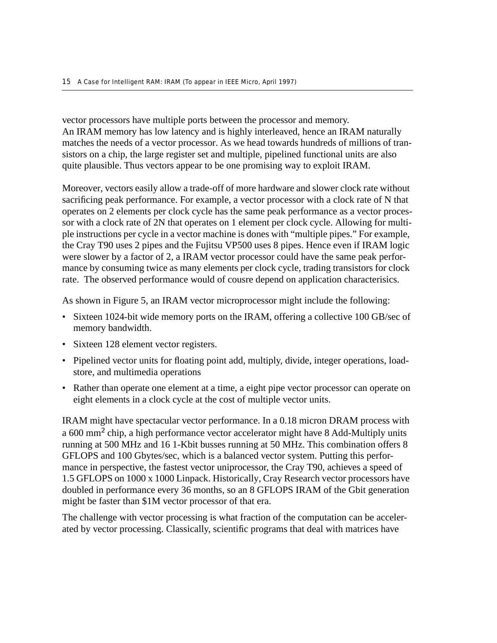vector processors have multiple ports between the processor and memory. An IRAM memory has low latency and is highly interleaved, hence an IRAM naturally matches the needs of a vector processor. As we head towards hundreds of millions of transistors on a chip, the large register set and multiple, pipelined functional units are also quite plausible. Thus vectors appear to be one promising way to exploit IRAM.

Moreover, vectors easily allow a trade-off of more hardware and slower clock rate without sacrificing peak performance. For example, a vector processor with a clock rate of N that operates on 2 elements per clock cycle has the same peak performance as a vector processor with a clock rate of 2N that operates on 1 element per clock cycle. Allowing for multiple instructions per cycle in a vector machine is dones with "multiple pipes." For example, the Cray T90 uses 2 pipes and the Fujitsu VP500 uses 8 pipes. Hence even if IRAM logic were slower by a factor of 2, a IRAM vector processor could have the same peak performance by consuming twice as many elements per clock cycle, trading transistors for clock rate. The observed performance would of cousre depend on application characterisics.

As shown in Figure 5, an IRAM vector microprocessor might include the following:

- Sixteen 1024-bit wide memory ports on the IRAM, offering a collective 100 GB/sec of memory bandwidth.
- Sixteen 128 element vector registers.
- Pipelined vector units for floating point add, multiply, divide, integer operations, loadstore, and multimedia operations
- Rather than operate one element at a time, a eight pipe vector processor can operate on eight elements in a clock cycle at the cost of multiple vector units.

IRAM might have spectacular vector performance. In a 0.18 micron DRAM process with a 600 mm<sup>2</sup> chip, a high performance vector accelerator might have 8 Add-Multiply units running at 500 MHz and 16 1-Kbit busses running at 50 MHz. This combination offers 8 GFLOPS and 100 Gbytes/sec, which is a balanced vector system. Putting this performance in perspective, the fastest vector uniprocessor, the Cray T90, achieves a speed of 1.5 GFLOPS on 1000 x 1000 Linpack. Historically, Cray Research vector processors have doubled in performance every 36 months, so an 8 GFLOPS IRAM of the Gbit generation might be faster than \$1M vector processor of that era.

The challenge with vector processing is what fraction of the computation can be accelerated by vector processing. Classically, scientific programs that deal with matrices have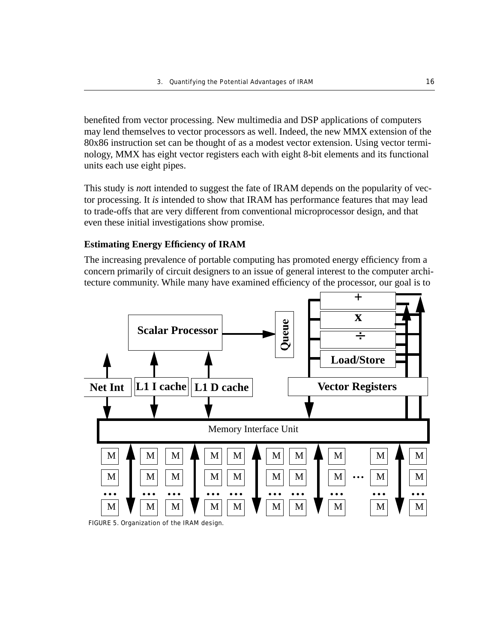benefited from vector processing. New multimedia and DSP applications of computers may lend themselves to vector processors as well. Indeed, the new MMX extension of the 80x86 instruction set can be thought of as a modest vector extension. Using vector terminology, MMX has eight vector registers each with eight 8-bit elements and its functional units each use eight pipes.

This study is *not*t intended to suggest the fate of IRAM depends on the popularity of vector processing. It *is* intended to show that IRAM has performance features that may lead to trade-offs that are very different from conventional microprocessor design, and that even these initial investigations show promise.

#### **Estimating Energy Efficiency of IRAM**

The increasing prevalence of portable computing has promoted energy efficiency from a concern primarily of circuit designers to an issue of general interest to the computer architecture community. While many have examined efficiency of the processor, our goal is to



FIGURE 5. Organization of the IRAM design.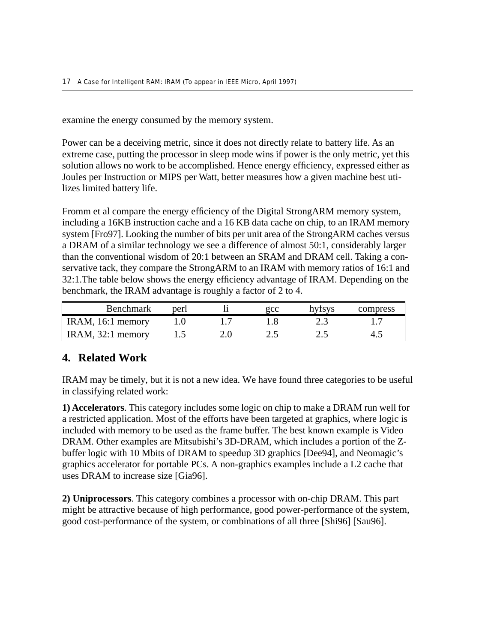examine the energy consumed by the memory system.

Power can be a deceiving metric, since it does not directly relate to battery life. As an extreme case, putting the processor in sleep mode wins if power is the only metric, yet this solution allows no work to be accomplished. Hence energy efficiency, expressed either as Joules per Instruction or MIPS per Watt, better measures how a given machine best utilizes limited battery life.

Fromm et al compare the energy efficiency of the Digital StrongARM memory system, including a 16KB instruction cache and a 16 KB data cache on chip, to an IRAM memory system [Fro97]. Looking the number of bits per unit area of the StrongARM caches versus a DRAM of a similar technology we see a difference of almost 50:1, considerably larger than the conventional wisdom of 20:1 between an SRAM and DRAM cell. Taking a conservative tack, they compare the StrongARM to an IRAM with memory ratios of 16:1 and 32:1.The table below shows the energy efficiency advantage of IRAM. Depending on the benchmark, the IRAM advantage is roughly a factor of 2 to 4.

| <b>Benchmark</b>                       | peri | gcc   | hyfsys | compress |
|----------------------------------------|------|-------|--------|----------|
| $\overline{\text{IRAM}}$ , 16:1 memory |      |       |        |          |
| IRAM, $32:1$ memory                    |      | ے ، ب |        |          |

# **4. Related Work**

IRAM may be timely, but it is not a new idea. We have found three categories to be useful in classifying related work:

**1) Accelerators**. This category includes some logic on chip to make a DRAM run well for a restricted application. Most of the efforts have been targeted at graphics, where logic is included with memory to be used as the frame buffer. The best known example is Video DRAM. Other examples are Mitsubishi's 3D-DRAM, which includes a portion of the Zbuffer logic with 10 Mbits of DRAM to speedup 3D graphics [Dee94], and Neomagic's graphics accelerator for portable PCs. A non-graphics examples include a L2 cache that uses DRAM to increase size [Gia96].

**2) Uniprocessors**. This category combines a processor with on-chip DRAM. This part might be attractive because of high performance, good power-performance of the system, good cost-performance of the system, or combinations of all three [Shi96] [Sau96].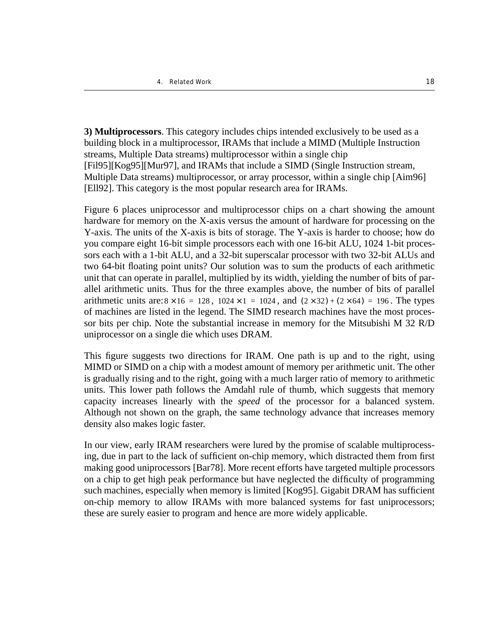**3) Multiprocessors**. This category includes chips intended exclusively to be used as a building block in a multiprocessor, IRAMs that include a MIMD (Multiple Instruction streams, Multiple Data streams) multiprocessor within a single chip [Fil95][Kog95][Mur97], and IRAMs that include a SIMD (Single Instruction stream, Multiple Data streams) multiprocessor, or array processor, within a single chip [Aim96] [Ell92]. This category is the most popular research area for IRAMs.

Figure 6 places uniprocessor and multiprocessor chips on a chart showing the amount hardware for memory on the X-axis versus the amount of hardware for processing on the Y-axis. The units of the X-axis is bits of storage. The Y-axis is harder to choose; how do you compare eight 16-bit simple processors each with one 16-bit ALU, 1024 1-bit processors each with a 1-bit ALU, and a 32-bit superscalar processor with two 32-bit ALUs and two 64-bit floating point units? Our solution was to sum the products of each arithmetic unit that can operate in parallel, multiplied by its width, yielding the number of bits of parallel arithmetic units. Thus for the three examples above, the number of bits of parallel arithmetic units are:  $8 \times 16 = 128$ ,  $1024 \times 1 = 1024$ , and  $(2 \times 32) + (2 \times 64) = 196$ . The types of machines are listed in the legend. The SIMD research machines have the most processor bits per chip. Note the substantial increase in memory for the Mitsubishi M 32 R/D uniprocessor on a single die which uses DRAM.

This figure suggests two directions for IRAM. One path is up and to the right, using MIMD or SIMD on a chip with a modest amount of memory per arithmetic unit. The other is gradually rising and to the right, going with a much larger ratio of memory to arithmetic units. This lower path follows the Amdahl rule of thumb, which suggests that memory capacity increases linearly with the *speed* of the processor for a balanced system. Although not shown on the graph, the same technology advance that increases memory density also makes logic faster.

In our view, early IRAM researchers were lured by the promise of scalable multiprocessing, due in part to the lack of sufficient on-chip memory, which distracted them from first making good uniprocessors [Bar78]. More recent efforts have targeted multiple processors on a chip to get high peak performance but have neglected the difficulty of programming such machines, especially when memory is limited [Kog95]. Gigabit DRAM has sufficient on-chip memory to allow IRAMs with more balanced systems for fast uniprocessors; these are surely easier to program and hence are more widely applicable.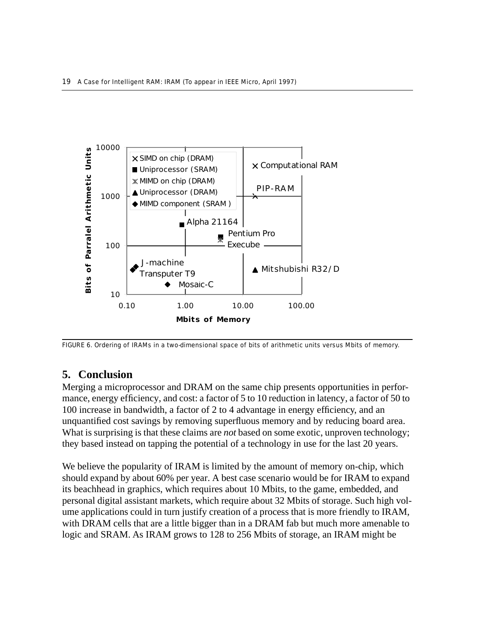

FIGURE 6. Ordering of IRAMs in a two-dimensional space of bits of arithmetic units versus Mbits of memory.

# **5. Conclusion**

Merging a microprocessor and DRAM on the same chip presents opportunities in performance, energy efficiency, and cost: a factor of 5 to 10 reduction in latency, a factor of 50 to 100 increase in bandwidth, a factor of 2 to 4 advantage in energy efficiency, and an unquantified cost savings by removing superfluous memory and by reducing board area. What is surprising is that these claims are *not* based on some exotic, unproven technology; they based instead on tapping the potential of a technology in use for the last 20 years.

We believe the popularity of IRAM is limited by the amount of memory on-chip, which should expand by about 60% per year. A best case scenario would be for IRAM to expand its beachhead in graphics, which requires about 10 Mbits, to the game, embedded, and personal digital assistant markets, which require about 32 Mbits of storage. Such high volume applications could in turn justify creation of a process that is more friendly to IRAM, with DRAM cells that are a little bigger than in a DRAM fab but much more amenable to logic and SRAM. As IRAM grows to 128 to 256 Mbits of storage, an IRAM might be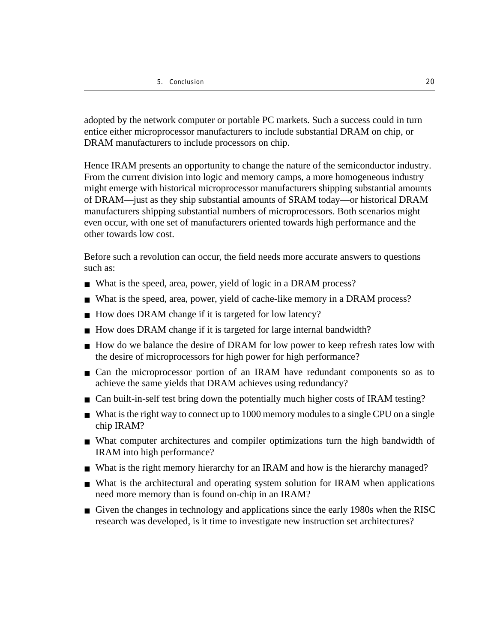adopted by the network computer or portable PC markets. Such a success could in turn entice either microprocessor manufacturers to include substantial DRAM on chip, or DRAM manufacturers to include processors on chip.

Hence IRAM presents an opportunity to change the nature of the semiconductor industry. From the current division into logic and memory camps, a more homogeneous industry might emerge with historical microprocessor manufacturers shipping substantial amounts of DRAM––just as they ship substantial amounts of SRAM today––or historical DRAM manufacturers shipping substantial numbers of microprocessors. Both scenarios might even occur, with one set of manufacturers oriented towards high performance and the other towards low cost.

Before such a revolution can occur, the field needs more accurate answers to questions such as:

- What is the speed, area, power, yield of logic in a DRAM process?
- What is the speed, area, power, yield of cache-like memory in a DRAM process?
- How does DRAM change if it is targeted for low latency?
- How does DRAM change if it is targeted for large internal bandwidth?
- How do we balance the desire of DRAM for low power to keep refresh rates low with the desire of microprocessors for high power for high performance?
- Can the microprocessor portion of an IRAM have redundant components so as to achieve the same yields that DRAM achieves using redundancy?
- Can built-in-self test bring down the potentially much higher costs of IRAM testing?
- What is the right way to connect up to 1000 memory modules to a single CPU on a single chip IRAM?
- What computer architectures and compiler optimizations turn the high bandwidth of IRAM into high performance?
- What is the right memory hierarchy for an IRAM and how is the hierarchy managed?
- What is the architectural and operating system solution for IRAM when applications need more memory than is found on-chip in an IRAM?
- Given the changes in technology and applications since the early 1980s when the RISC research was developed, is it time to investigate new instruction set architectures?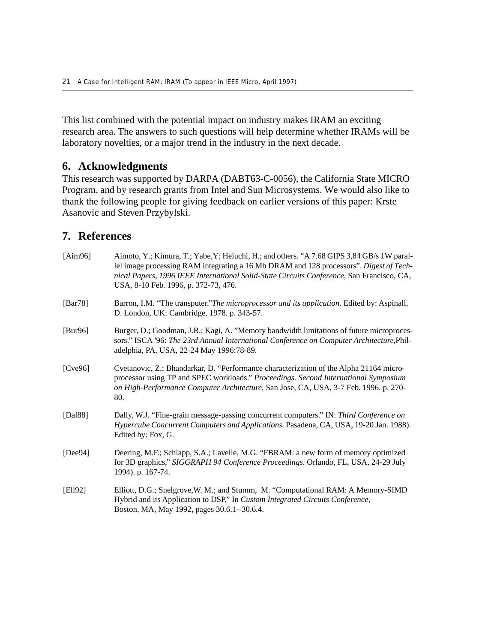This list combined with the potential impact on industry makes IRAM an exciting research area. The answers to such questions will help determine whether IRAMs will be laboratory novelties, or a major trend in the industry in the next decade.

## **6. Acknowledgments**

This research was supported by DARPA (DABT63-C-0056), the California State MICRO Program, and by research grants from Intel and Sun Microsystems. We would also like to thank the following people for giving feedback on earlier versions of this paper: Krste Asanovic and Steven Przybylski.

## **7. References**

| [Aim96]     | Aimoto, Y.; Kimura, T.; Yabe, Y; Heiuchi, H.; and others. "A 7.68 GIPS 3,84 GB/s 1W paral-<br>lel image processing RAM integrating a 16 Mb DRAM and 128 processors". Digest of Tech-<br>nical Papers, 1996 IEEE International Solid-State Circuits Conference, San Francisco, CA,<br>USA, 8-10 Feb. 1996, p. 372-73, 476. |
|-------------|---------------------------------------------------------------------------------------------------------------------------------------------------------------------------------------------------------------------------------------------------------------------------------------------------------------------------|
| [ $Bar78$ ] | Barron, I.M. "The transputer."The microprocessor and its application. Edited by: Aspinall,<br>D. London, UK: Cambridge, 1978. p. 343-57.                                                                                                                                                                                  |
| [Bur96]     | Burger, D.; Goodman, J.R.; Kagi, A. "Memory bandwidth limitations of future microproces-<br>sors." ISCA '96: The 23rd Annual International Conference on Computer Architecture, Phil-<br>adelphia, PA, USA, 22-24 May 1996:78-89.                                                                                         |
| [Cve96]     | Cvetanovic, Z.; Bhandarkar, D. "Performance characterization of the Alpha 21164 micro-<br>processor using TP and SPEC workloads." Proceedings. Second International Symposium<br>on High-Performance Computer Architecture, San Jose, CA, USA, 3-7 Feb. 1996. p. 270-<br>80.                                              |
| [Dal88]     | Dally, W.J. "Fine-grain message-passing concurrent computers." IN: Third Conference on<br>Hypercube Concurrent Computers and Applications. Pasadena, CA, USA, 19-20 Jan. 1988).<br>Edited by: Fox, G.                                                                                                                     |
| [ $Deep4$ ] | Deering, M.F.; Schlapp, S.A.; Lavelle, M.G. "FBRAM: a new form of memory optimized<br>for 3D graphics," SIGGRAPH 94 Conference Proceedings. Orlando, FL, USA, 24-29 July<br>1994). p. 167-74.                                                                                                                             |
| [Ell92]     | Elliott, D.G.; Snelgrove, W. M.; and Stumm, M. "Computational RAM: A Memory-SIMD<br>Hybrid and its Application to DSP," In Custom Integrated Circuits Conference,<br>Boston, MA, May 1992, pages 30.6.1--30.6.4.                                                                                                          |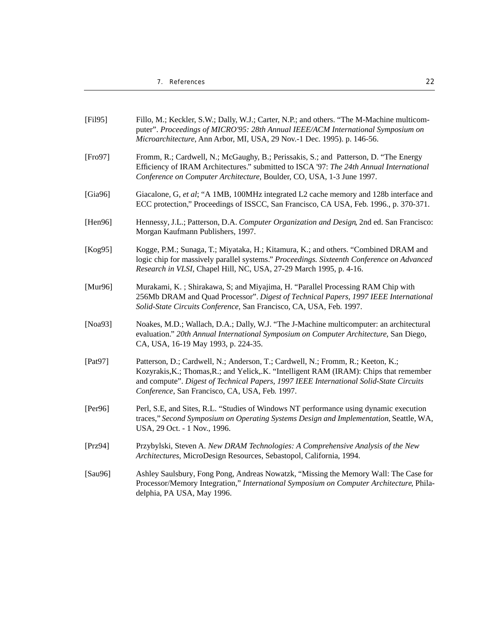| [Fi195]     | Fillo, M.; Keckler, S.W.; Dally, W.J.; Carter, N.P.; and others. "The M-Machine multicom-<br>puter". Proceedings of MICRO'95: 28th Annual IEEE/ACM International Symposium on<br>Microarchitecture, Ann Arbor, MI, USA, 29 Nov.-1 Dec. 1995). p. 146-56.                                                               |
|-------------|------------------------------------------------------------------------------------------------------------------------------------------------------------------------------------------------------------------------------------------------------------------------------------------------------------------------|
| [Fe 97]     | Fromm, R.; Cardwell, N.; McGaughy, B.; Perissakis, S.; and Patterson, D. "The Energy<br>Efficiency of IRAM Architectures." submitted to ISCA '97: The 24th Annual International<br>Conference on Computer Architecture, Boulder, CO, USA, 1-3 June 1997.                                                               |
| [Gia $96$ ] | Giacalone, G, et al; "A 1MB, 100MHz integrated L2 cache memory and 128b interface and<br>ECC protection," Proceedings of ISSCC, San Francisco, CA USA, Feb. 1996., p. 370-371.                                                                                                                                         |
| [Hen96]     | Hennessy, J.L.; Patterson, D.A. Computer Organization and Design, 2nd ed. San Francisco:<br>Morgan Kaufmann Publishers, 1997.                                                                                                                                                                                          |
| [ $Kog95$ ] | Kogge, P.M.; Sunaga, T.; Miyataka, H.; Kitamura, K.; and others. "Combined DRAM and<br>logic chip for massively parallel systems." Proceedings. Sixteenth Conference on Advanced<br>Research in VLSI, Chapel Hill, NC, USA, 27-29 March 1995, p. 4-16.                                                                 |
| [Mur96]     | Murakami, K.; Shirakawa, S; and Miyajima, H. "Parallel Processing RAM Chip with<br>256Mb DRAM and Quad Processor". Digest of Technical Papers, 1997 IEEE International<br>Solid-State Circuits Conference, San Francisco, CA, USA, Feb. 1997.                                                                          |
| [ $Noa93$ ] | Noakes, M.D.; Wallach, D.A.; Dally, W.J. "The J-Machine multicomputer: an architectural<br>evaluation." 20th Annual International Symposium on Computer Architecture, San Diego,<br>CA, USA, 16-19 May 1993, p. 224-35.                                                                                                |
| [Pat97]     | Patterson, D.; Cardwell, N.; Anderson, T.; Cardwell, N.; Fromm, R.; Keeton, K.;<br>Kozyrakis, K.; Thomas, R.; and Yelick, .K. "Intelligent RAM (IRAM): Chips that remember<br>and compute". Digest of Technical Papers, 1997 IEEE International Solid-State Circuits<br>Conference, San Francisco, CA, USA, Feb. 1997. |
| [Per96]     | Perl, S.E, and Sites, R.L. "Studies of Windows NT performance using dynamic execution<br>traces," Second Symposium on Operating Systems Design and Implementation, Seattle, WA,<br>USA, 29 Oct. - 1 Nov., 1996.                                                                                                        |
| [Prz94]     | Przybylski, Steven A. New DRAM Technologies: A Comprehensive Analysis of the New<br>Architectures, MicroDesign Resources, Sebastopol, California, 1994.                                                                                                                                                                |
| [ $Sau96$ ] | Ashley Saulsbury, Fong Pong, Andreas Nowatzk, "Missing the Memory Wall: The Case for<br>Processor/Memory Integration," International Symposium on Computer Architecture, Phila-<br>delphia, PA USA, May 1996.                                                                                                          |